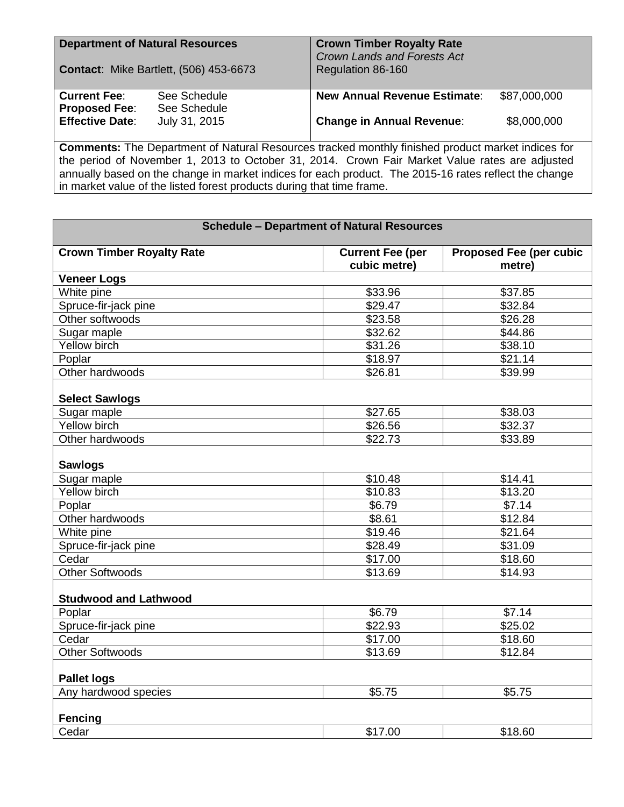| <b>Department of Natural Resources</b><br><b>Contact: Mike Bartlett, (506) 453-6673</b> |                                               | <b>Crown Timber Royalty Rate</b><br>Crown Lands and Forests Act<br>Regulation 86-160 |                             |  |
|-----------------------------------------------------------------------------------------|-----------------------------------------------|--------------------------------------------------------------------------------------|-----------------------------|--|
| <b>Current Fee:</b><br><b>Proposed Fee:</b><br><b>Effective Date:</b>                   | See Schedule<br>See Schedule<br>July 31, 2015 | <b>New Annual Revenue Estimate:</b><br><b>Change in Annual Revenue:</b>              | \$87,000,000<br>\$8,000,000 |  |

**Comments:** The Department of Natural Resources tracked monthly finished product market indices for the period of November 1, 2013 to October 31, 2014. Crown Fair Market Value rates are adjusted annually based on the change in market indices for each product. The 2015-16 rates reflect the change in market value of the listed forest products during that time frame.

| <b>Crown Timber Royalty Rate</b><br><b>Proposed Fee (per cubic</b><br><b>Current Fee (per</b><br>cubic metre)<br>metre)<br><b>Veneer Logs</b><br>White pine<br>\$33.96<br>\$37.85<br>Spruce-fir-jack pine<br>\$29.47<br>\$32.84<br>Other softwoods<br>\$23.58<br>\$26.28<br>\$32.62<br>\$44.86<br>Sugar maple<br>Yellow birch<br>\$38.10<br>\$31.26<br>\$18.97<br>\$21.14<br>Poplar<br>Other hardwoods<br>\$26.81<br>\$39.99<br><b>Select Sawlogs</b><br>Sugar maple<br>\$27.65<br>\$38.03<br>Yellow birch<br>\$32.37<br>\$26.56<br>Other hardwoods<br>\$22.73<br>\$33.89<br><b>Sawlogs</b><br>Sugar maple<br>\$10.48<br>\$14.41<br>\$13.20<br>Yellow birch<br>\$10.83<br>\$7.14<br>\$6.79<br>Poplar<br>\$12.84<br>Other hardwoods<br>\$8.61<br>White pine<br>\$19.46<br>\$21.64<br>\$28.49<br>\$31.09<br>Spruce-fir-jack pine<br>Cedar<br>\$17.00<br>\$18.60<br><b>Other Softwoods</b><br>\$13.69<br>\$14.93<br><b>Studwood and Lathwood</b><br>Poplar<br>\$6.79<br>\$7.14<br>\$22.93<br>\$25.02<br>Spruce-fir-jack pine<br>Cedar<br>\$17.00<br>\$18.60<br><b>Other Softwoods</b><br>\$13.69<br>\$12.84<br><b>Pallet logs</b><br>Any hardwood species<br>\$5.75<br>\$5.75<br><b>Fencing</b><br>Cedar<br>\$17.00<br>\$18.60 | <b>Schedule - Department of Natural Resources</b> |  |  |  |  |  |
|-----------------------------------------------------------------------------------------------------------------------------------------------------------------------------------------------------------------------------------------------------------------------------------------------------------------------------------------------------------------------------------------------------------------------------------------------------------------------------------------------------------------------------------------------------------------------------------------------------------------------------------------------------------------------------------------------------------------------------------------------------------------------------------------------------------------------------------------------------------------------------------------------------------------------------------------------------------------------------------------------------------------------------------------------------------------------------------------------------------------------------------------------------------------------------------------------------------------------------|---------------------------------------------------|--|--|--|--|--|
|                                                                                                                                                                                                                                                                                                                                                                                                                                                                                                                                                                                                                                                                                                                                                                                                                                                                                                                                                                                                                                                                                                                                                                                                                             |                                                   |  |  |  |  |  |
|                                                                                                                                                                                                                                                                                                                                                                                                                                                                                                                                                                                                                                                                                                                                                                                                                                                                                                                                                                                                                                                                                                                                                                                                                             |                                                   |  |  |  |  |  |
|                                                                                                                                                                                                                                                                                                                                                                                                                                                                                                                                                                                                                                                                                                                                                                                                                                                                                                                                                                                                                                                                                                                                                                                                                             |                                                   |  |  |  |  |  |
|                                                                                                                                                                                                                                                                                                                                                                                                                                                                                                                                                                                                                                                                                                                                                                                                                                                                                                                                                                                                                                                                                                                                                                                                                             |                                                   |  |  |  |  |  |
|                                                                                                                                                                                                                                                                                                                                                                                                                                                                                                                                                                                                                                                                                                                                                                                                                                                                                                                                                                                                                                                                                                                                                                                                                             |                                                   |  |  |  |  |  |
|                                                                                                                                                                                                                                                                                                                                                                                                                                                                                                                                                                                                                                                                                                                                                                                                                                                                                                                                                                                                                                                                                                                                                                                                                             |                                                   |  |  |  |  |  |
|                                                                                                                                                                                                                                                                                                                                                                                                                                                                                                                                                                                                                                                                                                                                                                                                                                                                                                                                                                                                                                                                                                                                                                                                                             |                                                   |  |  |  |  |  |
|                                                                                                                                                                                                                                                                                                                                                                                                                                                                                                                                                                                                                                                                                                                                                                                                                                                                                                                                                                                                                                                                                                                                                                                                                             |                                                   |  |  |  |  |  |
|                                                                                                                                                                                                                                                                                                                                                                                                                                                                                                                                                                                                                                                                                                                                                                                                                                                                                                                                                                                                                                                                                                                                                                                                                             |                                                   |  |  |  |  |  |
|                                                                                                                                                                                                                                                                                                                                                                                                                                                                                                                                                                                                                                                                                                                                                                                                                                                                                                                                                                                                                                                                                                                                                                                                                             |                                                   |  |  |  |  |  |
|                                                                                                                                                                                                                                                                                                                                                                                                                                                                                                                                                                                                                                                                                                                                                                                                                                                                                                                                                                                                                                                                                                                                                                                                                             |                                                   |  |  |  |  |  |
|                                                                                                                                                                                                                                                                                                                                                                                                                                                                                                                                                                                                                                                                                                                                                                                                                                                                                                                                                                                                                                                                                                                                                                                                                             |                                                   |  |  |  |  |  |
|                                                                                                                                                                                                                                                                                                                                                                                                                                                                                                                                                                                                                                                                                                                                                                                                                                                                                                                                                                                                                                                                                                                                                                                                                             |                                                   |  |  |  |  |  |
|                                                                                                                                                                                                                                                                                                                                                                                                                                                                                                                                                                                                                                                                                                                                                                                                                                                                                                                                                                                                                                                                                                                                                                                                                             |                                                   |  |  |  |  |  |
|                                                                                                                                                                                                                                                                                                                                                                                                                                                                                                                                                                                                                                                                                                                                                                                                                                                                                                                                                                                                                                                                                                                                                                                                                             |                                                   |  |  |  |  |  |
|                                                                                                                                                                                                                                                                                                                                                                                                                                                                                                                                                                                                                                                                                                                                                                                                                                                                                                                                                                                                                                                                                                                                                                                                                             |                                                   |  |  |  |  |  |
|                                                                                                                                                                                                                                                                                                                                                                                                                                                                                                                                                                                                                                                                                                                                                                                                                                                                                                                                                                                                                                                                                                                                                                                                                             |                                                   |  |  |  |  |  |
|                                                                                                                                                                                                                                                                                                                                                                                                                                                                                                                                                                                                                                                                                                                                                                                                                                                                                                                                                                                                                                                                                                                                                                                                                             |                                                   |  |  |  |  |  |
|                                                                                                                                                                                                                                                                                                                                                                                                                                                                                                                                                                                                                                                                                                                                                                                                                                                                                                                                                                                                                                                                                                                                                                                                                             |                                                   |  |  |  |  |  |
|                                                                                                                                                                                                                                                                                                                                                                                                                                                                                                                                                                                                                                                                                                                                                                                                                                                                                                                                                                                                                                                                                                                                                                                                                             |                                                   |  |  |  |  |  |
|                                                                                                                                                                                                                                                                                                                                                                                                                                                                                                                                                                                                                                                                                                                                                                                                                                                                                                                                                                                                                                                                                                                                                                                                                             |                                                   |  |  |  |  |  |
|                                                                                                                                                                                                                                                                                                                                                                                                                                                                                                                                                                                                                                                                                                                                                                                                                                                                                                                                                                                                                                                                                                                                                                                                                             |                                                   |  |  |  |  |  |
|                                                                                                                                                                                                                                                                                                                                                                                                                                                                                                                                                                                                                                                                                                                                                                                                                                                                                                                                                                                                                                                                                                                                                                                                                             |                                                   |  |  |  |  |  |
|                                                                                                                                                                                                                                                                                                                                                                                                                                                                                                                                                                                                                                                                                                                                                                                                                                                                                                                                                                                                                                                                                                                                                                                                                             |                                                   |  |  |  |  |  |
|                                                                                                                                                                                                                                                                                                                                                                                                                                                                                                                                                                                                                                                                                                                                                                                                                                                                                                                                                                                                                                                                                                                                                                                                                             |                                                   |  |  |  |  |  |
|                                                                                                                                                                                                                                                                                                                                                                                                                                                                                                                                                                                                                                                                                                                                                                                                                                                                                                                                                                                                                                                                                                                                                                                                                             |                                                   |  |  |  |  |  |
|                                                                                                                                                                                                                                                                                                                                                                                                                                                                                                                                                                                                                                                                                                                                                                                                                                                                                                                                                                                                                                                                                                                                                                                                                             |                                                   |  |  |  |  |  |
|                                                                                                                                                                                                                                                                                                                                                                                                                                                                                                                                                                                                                                                                                                                                                                                                                                                                                                                                                                                                                                                                                                                                                                                                                             |                                                   |  |  |  |  |  |
|                                                                                                                                                                                                                                                                                                                                                                                                                                                                                                                                                                                                                                                                                                                                                                                                                                                                                                                                                                                                                                                                                                                                                                                                                             |                                                   |  |  |  |  |  |
|                                                                                                                                                                                                                                                                                                                                                                                                                                                                                                                                                                                                                                                                                                                                                                                                                                                                                                                                                                                                                                                                                                                                                                                                                             |                                                   |  |  |  |  |  |
|                                                                                                                                                                                                                                                                                                                                                                                                                                                                                                                                                                                                                                                                                                                                                                                                                                                                                                                                                                                                                                                                                                                                                                                                                             |                                                   |  |  |  |  |  |
|                                                                                                                                                                                                                                                                                                                                                                                                                                                                                                                                                                                                                                                                                                                                                                                                                                                                                                                                                                                                                                                                                                                                                                                                                             |                                                   |  |  |  |  |  |